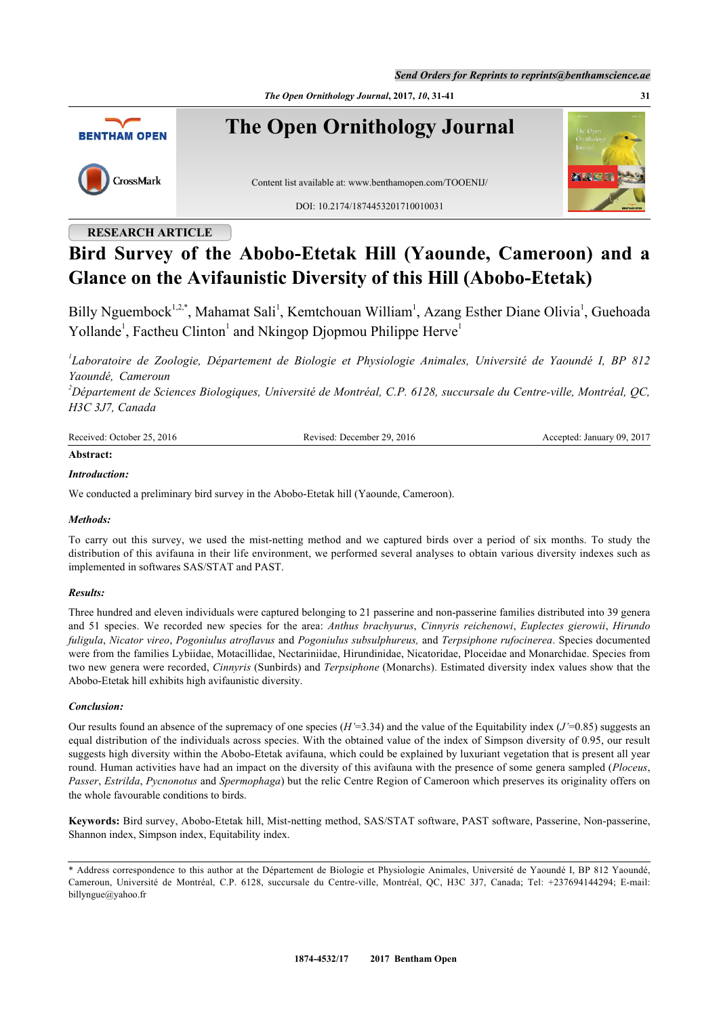*Send Orders for Reprints to reprints@benthamscience.ae*

*The Open Ornithology Journal***, 2017,** *10***, 31-41 31**



**The Open Ornithology Journal**



Content list available at: [www.benthamopen.com/TOOENIJ/](http://www.benthamopen.com/TOOENIJ/)

DOI: [10.2174/1874453201710010031](http://dx.doi.org/10.2174/1874453201710010031)



# **RESEARCH ARTICLE**

# **Bird Survey of the Abobo-Etetak Hill (Yaounde, Cameroon) and a Glance on the Avifaunistic Diversity of this Hill (Abobo-Etetak)**

Billy Nguembock<sup>[1](#page-0-0)[,2,](#page-0-1)[\\*](#page-0-2)</sup>, Mahamat Sali<sup>1</sup>, Kemtchouan William<sup>1</sup>, Azang Esther Diane Olivia<sup>1</sup>, Guehoada Yollande<sup>[1](#page-0-0)</sup>, Factheu Clinton<sup>1</sup> and Nkingop Djopmou Philippe Herve<sup>1</sup>

<span id="page-0-0"></span>*1 Laboratoire de Zoologie, Département de Biologie et Physiologie Animales, Université de Yaoundé I, BP 812 Yaoundé, Cameroun*

<span id="page-0-1"></span>*<sup>2</sup>Département de Sciences Biologiques, Université de Montréal, C.P. 6128, succursale du Centre-ville, Montréal, QC, H3C 3J7, Canada*

| Received: October 25, 2016 | : December 29, 2016<br>Revised: | January 09, 2017<br>ented. |
|----------------------------|---------------------------------|----------------------------|
| $\cdots$                   |                                 |                            |

# **Abstract:**

# *Introduction:*

We conducted a preliminary bird survey in the Abobo-Etetak hill (Yaounde, Cameroon).

### *Methods:*

To carry out this survey, we used the mist-netting method and we captured birds over a period of six months. To study the distribution of this avifauna in their life environment, we performed several analyses to obtain various diversity indexes such as implemented in softwares SAS/STAT and PAST.

### *Results:*

Three hundred and eleven individuals were captured belonging to 21 passerine and non-passerine families distributed into 39 genera and 51 species. We recorded new species for the area: *Anthus brachyurus*, *Cinnyris reichenowi*, *Euplectes gierowii*, *Hirundo fuligula*, *Nicator vireo*, *Pogoniulus atroflavus* and *Pogoniulus subsulphureus,* and *Terpsiphone rufocinerea*. Species documented were from the families Lybiidae, Motacillidae, Nectariniidae, Hirundinidae, Nicatoridae, Ploceidae and Monarchidae. Species from two new genera were recorded, *Cinnyris* (Sunbirds) and *Terpsiphone* (Monarchs). Estimated diversity index values show that the Abobo-Etetak hill exhibits high avifaunistic diversity.

# *Conclusion:*

Our results found an absence of the supremacy of one species  $(H'=3.34)$  and the value of the Equitability index  $(J'=0.85)$  suggests an equal distribution of the individuals across species. With the obtained value of the index of Simpson diversity of 0.95, our result suggests high diversity within the Abobo-Etetak avifauna, which could be explained by luxuriant vegetation that is present all year round. Human activities have had an impact on the diversity of this avifauna with the presence of some genera sampled (*Ploceus*, *Passer*, *Estrilda*, *Pycnonotus* and *Spermophaga*) but the relic Centre Region of Cameroon which preserves its originality offers on the whole favourable conditions to birds.

**Keywords:** Bird survey, Abobo-Etetak hill, Mist-netting method, SAS/STAT software, PAST software, Passerine, Non-passerine, Shannon index, Simpson index, Equitability index.

<span id="page-0-2"></span><sup>\*</sup> Address correspondence to this author at the Département de Biologie et Physiologie Animales, Université de Yaoundé I, BP 812 Yaoundé, Cameroun, Université de Montréal, C.P. 6128, succursale du Centre-ville, Montréal, QC, H3C 3J7, Canada; Tel: +237694144294; E-mail: [billyngue@yahoo.fr](mailto:billyngue@yahoo.fr)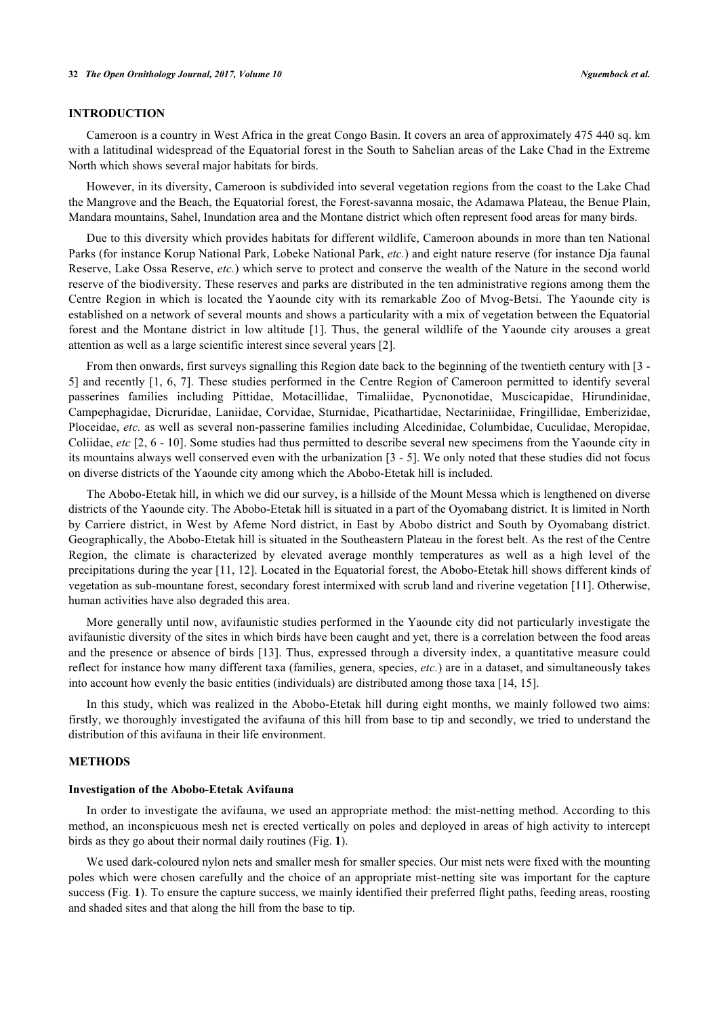### **INTRODUCTION**

Cameroon is a country in West Africa in the great Congo Basin. It covers an area of approximately 475 440 sq. km with a latitudinal widespread of the Equatorial forest in the South to Sahelian areas of the Lake Chad in the Extreme North which shows several major habitats for birds.

However, in its diversity, Cameroon is subdivided into several vegetation regions from the coast to the Lake Chad the Mangrove and the Beach, the Equatorial forest, the Forest-savanna mosaic, the Adamawa Plateau, the Benue Plain, Mandara mountains, Sahel, Inundation area and the Montane district which often represent food areas for many birds.

Due to this diversity which provides habitats for different wildlife, Cameroon abounds in more than ten National Parks (for instance Korup National Park, Lobeke National Park, *etc.*) and eight nature reserve (for instance Dja faunal Reserve, Lake Ossa Reserve, *etc.*) which serve to protect and conserve the wealth of the Nature in the second world reserve of the biodiversity. These reserves and parks are distributed in the ten administrative regions among them the Centre Region in which is located the Yaounde city with its remarkable Zoo of Mvog-Betsi. The Yaounde city is established on a network of several mounts and shows a particularity with a mix of vegetation between the Equatorial forest and the Montane district in low altitude [[1\]](#page-10-0). Thus, the general wildlife of the Yaounde city arouses a great attention as well as a large scientific interest since several years [[2\]](#page-10-1).

From then onwards, first surveys signalling this Region date back to the beginning of the twentieth century with [[3](#page-10-2) - [5\]](#page-10-3) and recently [[1](#page-10-0), [6](#page-10-4), [7\]](#page-10-5). These studies performed in the Centre Region of Cameroon permitted to identify several passerines families including Pittidae, Motacillidae, Timaliidae, Pycnonotidae, Muscicapidae, Hirundinidae, Campephagidae, Dicruridae, Laniidae, Corvidae, Sturnidae, Picathartidae, Nectariniidae, Fringillidae, Emberizidae, Ploceidae, *etc.* as well as several non-passerine families including Alcedinidae, Columbidae, Cuculidae, Meropidae, Coliidae, *etc* [\[2](#page-10-1), [6](#page-10-4) - [10\]](#page-10-6). Some studies had thus permitted to describe several new specimens from the Yaounde city in its mountains always well conserved even with the urbanization [[3](#page-10-2) - [5\]](#page-10-3). We only noted that these studies did not focus on diverse districts of the Yaounde city among which the Abobo-Etetak hill is included.

The Abobo-Etetak hill, in which we did our survey, is a hillside of the Mount Messa which is lengthened on diverse districts of the Yaounde city. The Abobo-Etetak hill is situated in a part of the Oyomabang district. It is limited in North by Carriere district, in West by Afeme Nord district, in East by Abobo district and South by Oyomabang district. Geographically, the Abobo-Etetak hill is situated in the Southeastern Plateau in the forest belt. As the rest of the Centre Region, the climate is characterized by elevated average monthly temperatures as well as a high level of the precipitations during the year [[11](#page-10-7), [12](#page-10-8)]. Located in the Equatorial forest, the Abobo-Etetak hill shows different kinds of vegetation as sub-mountane forest, secondary forest intermixed with scrub land and riverine vegetation [\[11](#page-10-7)]. Otherwise, human activities have also degraded this area.

More generally until now, avifaunistic studies performed in the Yaounde city did not particularly investigate the avifaunistic diversity of the sites in which birds have been caught and yet, there is a correlation between the food areas and the presence or absence of birds [\[13](#page-10-9)]. Thus, expressed through a diversity index, a quantitative measure could reflect for instance how many different taxa (families, genera, species, *etc.*) are in a dataset, and simultaneously takes into account how evenly the basic entities (individuals) are distributed among those taxa [[14,](#page-10-10) [15\]](#page-10-11).

In this study, which was realized in the Abobo-Etetak hill during eight months, we mainly followed two aims: firstly, we thoroughly investigated the avifauna of this hill from base to tip and secondly, we tried to understand the distribution of this avifauna in their life environment.

### **METHODS**

#### **Investigation of the Abobo-Etetak Avifauna**

In order to investigate the avifauna, we used an appropriate method: the mist-netting method. According to this method, an inconspicuous mesh net is erected vertically on poles and deployed in areas of high activity to intercept birds as they go about their normal daily routines (Fig. **[1](#page-2-0)**).

We used dark-coloured nylon nets and smaller mesh for smaller species. Our mist nets were fixed with the mounting poles which were chosen carefully and the choice of an appropriate mist-netting site was important for the capture success (Fig. [1](#page-2-0)). To ensure the capture success, we mainly identified their preferred flight paths, feeding areas, roosting and shaded sites and that along the hill from the base to tip.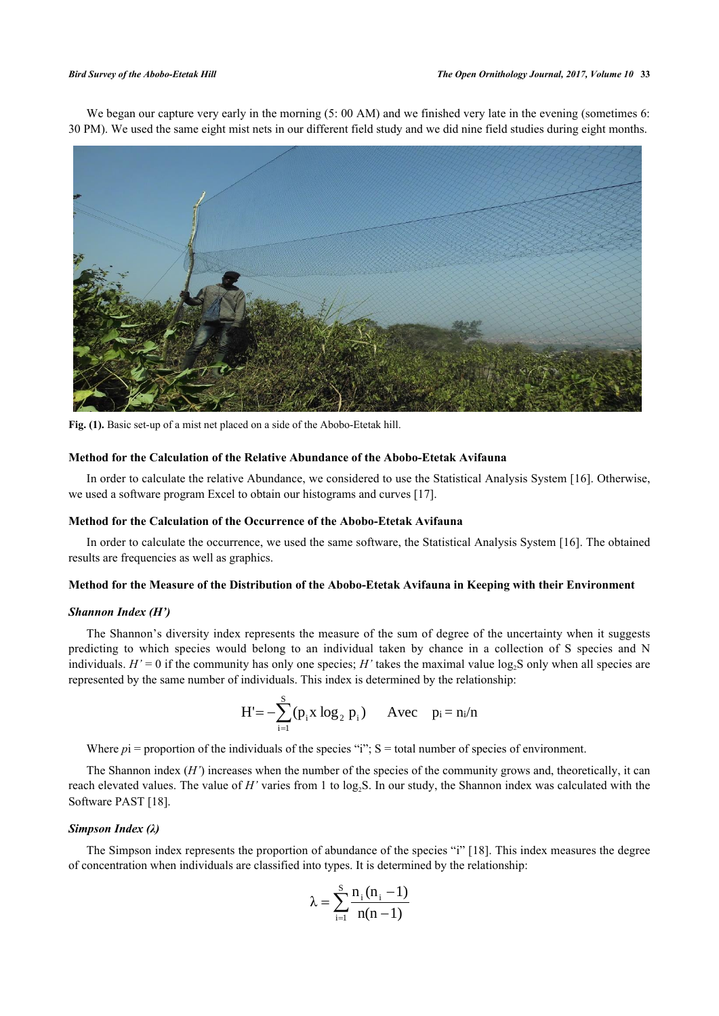We began our capture very early in the morning (5: 00 AM) and we finished very late in the evening (sometimes 6: 30 PM). We used the same eight mist nets in our different field study and we did nine field studies during eight months.

<span id="page-2-0"></span>

**Fig. (1).** Basic set-up of a mist net placed on a side of the Abobo-Etetak hill.

# **Method for the Calculation of the Relative Abundance of the Abobo-Etetak Avifauna**

In order to calculate the relative Abundance, we considered to use the Statistical Analysis System [[16\]](#page-10-12). Otherwise, we used a software program Excel to obtain our histograms and curves [\[17](#page-10-13)].

#### **Method for the Calculation of the Occurrence of the Abobo-Etetak Avifauna**

In order to calculate the occurrence, we used the same software, the Statistical Analysis System [[16\]](#page-10-12). The obtained results are frequencies as well as graphics.

#### **Method for the Measure of the Distribution of the Abobo-Etetak Avifauna in Keeping with their Environment**

#### *Shannon Index (H')*

The Shannon's diversity index represents the measure of the sum of degree of the uncertainty when it suggests predicting to which species would belong to an individual taken by chance in a collection of S species and N individuals.  $H' = 0$  if the community has only one species;  $H'$  takes the maximal value log<sub>2</sub>S only when all species are represented by the same number of individuals. This index is determined by the relationship:

$$
H' = -\sum_{i=1}^{S} (p_i x \log_2 p_i) \quad \text{Avec} \quad p_i = n_i/n
$$

Where  $pi =$  proportion of the individuals of the species "i";  $S =$  total number of species of environment.

The Shannon index  $(H')$  increases when the number of the species of the community grows and, theoretically, it can reach elevated values. The value of  $H'$  varies from 1 to log<sub>2</sub>S. In our study, the Shannon index was calculated with the Software PAST [[18\]](#page-10-14).

#### *Simpson Index (λ)*

The Simpson index represents the proportion of abundance of the species "i" [\[18\]](#page-10-14). This index measures the degree of concentration when individuals are classified into types. It is determined by the relationship:

$$
\lambda = \sum_{i=1}^{S} \frac{n_i (n_i - 1)}{n(n-1)}
$$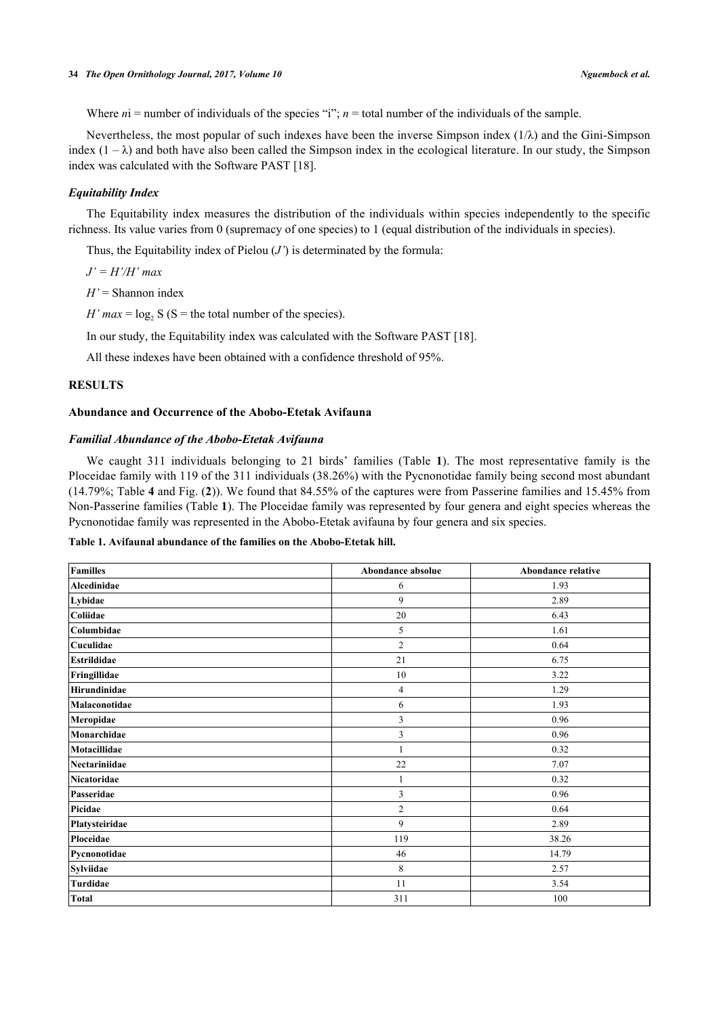Where  $ni$  = number of individuals of the species "i";  $n$  = total number of the individuals of the sample.

Nevertheless, the most popular of such indexes have been the inverse Simpson index  $(1/\lambda)$  and the Gini-Simpson index  $(1 - \lambda)$  and both have also been called the Simpson index in the ecological literature. In our study, the Simpson index was calculated with the Software PAST [\[18](#page-10-14)].

#### *Equitability Index*

The Equitability index measures the distribution of the individuals within species independently to the specific richness. Its value varies from 0 (supremacy of one species) to 1 (equal distribution of the individuals in species).

Thus, the Equitability index of Pielou  $(J')$  is determinated by the formula:

*J' = H'/H' max*

*H'* = Shannon index

*H' max* =  $log_2 S$  (S = the total number of the species).

In our study, the Equitability index was calculated with the Software PAST [\[18](#page-10-14)].

All these indexes have been obtained with a confidence threshold of 95%.

### **RESULTS**

#### **Abundance and Occurrence of the Abobo-Etetak Avifauna**

#### *Familial Abundance of the Abobo-Etetak Avifauna*

We caught 311 individuals belonging to 21 birds' families (Table**1**). The most representative family is the Ploceidae family with 119 of the 311 individuals (38.26%) with the Pycnonotidae family being second most abundant (14.79%; Table **[4](#page-7-0)** and Fig. (**[2](#page-3-1)**)). We found that 84.55% of the captures were from Passerine families and 15.45% from Non-Passerine families (Table **[1](#page-3-0)**). The Ploceidae family was represented by four genera and eight species whereas the Pycnonotidae family was represented in the Abobo-Etetak avifauna by four genera and six species.

#### <span id="page-3-0"></span>**Table 1. Avifaunal abundance of the families on the Abobo-Etetak hill.**

<span id="page-3-1"></span>

| <b>Familles</b>    | Abondance absolue | <b>Abondance relative</b> |
|--------------------|-------------------|---------------------------|
| Alcedinidae        | 6                 | 1.93                      |
| Lybidae            | 9                 | 2.89                      |
| Coliidae           | 20                | 6.43                      |
| Columbidae         | 5                 | 1.61                      |
| Cuculidae          | $\overline{c}$    | 0.64                      |
| <b>Estrildidae</b> | 21                | 6.75                      |
| Fringillidae       | 10                | 3.22                      |
| Hirundinidae       | 4                 | 1.29                      |
| Malaconotidae      | 6                 | 1.93                      |
| Meropidae          | 3                 | 0.96                      |
| Monarchidae        | 3                 | 0.96                      |
| Motacillidae       |                   | 0.32                      |
| Nectariniidae      | 22                | 7.07                      |
| Nicatoridae        | 1                 | 0.32                      |
| Passeridae         | 3                 | 0.96                      |
| Picidae            | $\overline{c}$    | 0.64                      |
| Platysteiridae     | 9                 | 2.89                      |
| Ploceidae          | 119               | 38.26                     |
| Pycnonotidae       | 46                | 14.79                     |
| <b>Sylviidae</b>   | 8                 | 2.57                      |
| Turdidae           | 11                | 3.54                      |
| <b>Total</b>       | 311               | 100                       |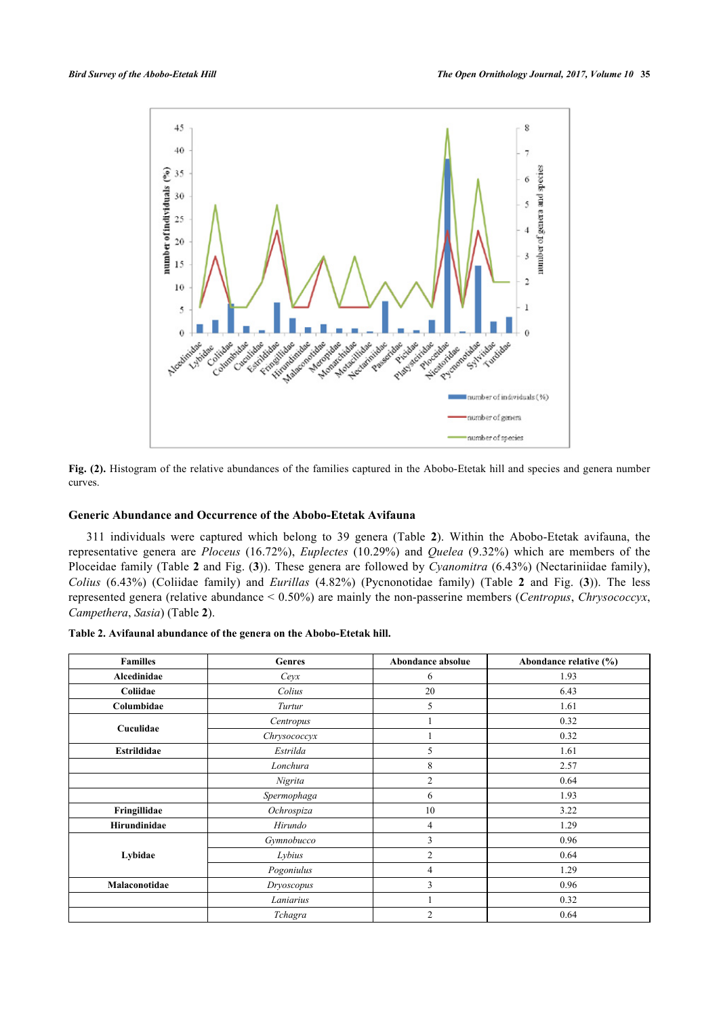

Fig. (2). Histogram of the relative abundances of the families captured in the Abobo-Etetak hill and species and genera number curves.

# **Generic Abundance and Occurrence of the Abobo-Etetak Avifauna**

311 individuals were captured which belong to 39 genera (Table**2**). Within the Abobo-Etetak avifauna, the representative genera are *Ploceus* (16.72%), *Euplectes* (10.29%) and *Quelea* (9.32%) which are members of the Ploceidae family (Table **2** and Fig. (**[3](#page-6-0)**)). These genera are followed by *Cyanomitra* (6.43%) (Nectariniidae family), *Colius* (6.43%) (Coliidae family) and *Eurillas* (4.82%) (Pycnonotidae family) (Table **2** and Fig. (**[3](#page-6-0)**)). The less represented genera (relative abundance < 0.50%) are mainly the non-passerine members (*Centropus*, *Chrysococcyx*, *Campethera*, *Sasia*) (Table **[2](#page-4-0)**).

<span id="page-4-0"></span>

| <b>Familles</b>    | <b>Genres</b> | Abondance absolue | Abondance relative (%) |
|--------------------|---------------|-------------------|------------------------|
| Alcedinidae        | Ceyx          | 6                 | 1.93                   |
| Coliidae           | Colius        | 20                | 6.43                   |
| Columbidae         | Turtur        | 5                 | 1.61                   |
| Cuculidae          | Centropus     |                   | 0.32                   |
|                    | Chrysococcyx  |                   | 0.32                   |
| <b>Estrildidae</b> | Estrilda      | 5                 | 1.61                   |
|                    | Lonchura      | 8                 | 2.57                   |
|                    | Nigrita       | $\overline{2}$    | 0.64                   |
|                    | Spermophaga   | 6                 | 1.93                   |
| Fringillidae       | Ochrospiza    | 10                | 3.22                   |
| Hirundinidae       | Hirundo       | $\overline{4}$    | 1.29                   |
|                    | Gymnobucco    | 3                 | 0.96                   |
| Lybidae            | Lybius        | $\overline{2}$    | 0.64                   |
|                    | Pogoniulus    | $\overline{4}$    | 1.29                   |
| Malaconotidae      | Dryoscopus    | 3                 | 0.96                   |
|                    | Laniarius     |                   | 0.32                   |
|                    | Tchagra       | $\overline{2}$    | 0.64                   |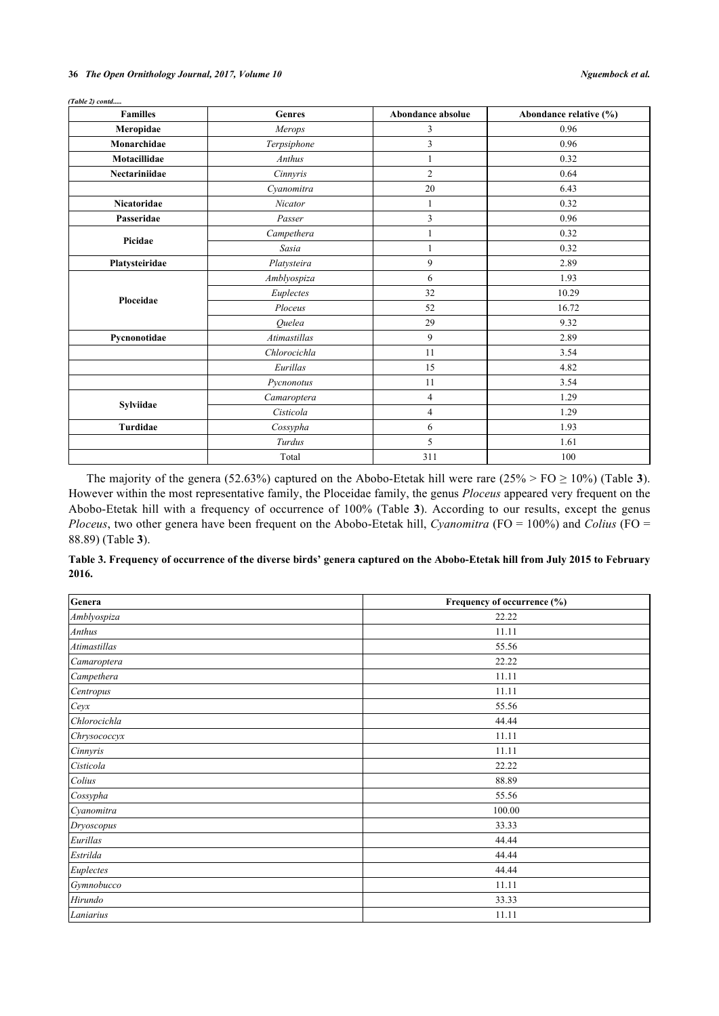#### **36** *The Open Ornithology Journal, 2017, Volume 10 Nguembock et al.*

*(Table 2) contd.....*

| <b>Familles</b>    | Genres              | Abondance absolue | Abondance relative (%) |
|--------------------|---------------------|-------------------|------------------------|
| Meropidae          | Merops              | 3                 | 0.96                   |
| Monarchidae        | Terpsiphone         | 3                 | 0.96                   |
| Motacillidae       | Anthus              | $\mathbf{1}$      | 0.32                   |
| Nectariniidae      | Cinnyris            | $\overline{2}$    | 0.64                   |
|                    | Cyanomitra          | 20                | 6.43                   |
| <b>Nicatoridae</b> | Nicator             | $\mathbf{1}$      | 0.32                   |
| Passeridae         | Passer              | $\mathfrak{Z}$    | 0.96                   |
| Picidae            | Campethera          | 1                 | 0.32                   |
|                    | Sasia               | 1                 | 0.32                   |
| Platysteiridae     | Platysteira         | 9                 | 2.89                   |
|                    | Amblyospiza         | 6                 | 1.93                   |
| Ploceidae          | Euplectes           | 32                | 10.29                  |
|                    | Ploceus             | 52                | 16.72                  |
|                    | Ouelea              | 29                | 9.32                   |
| Pycnonotidae       | <b>Atimastillas</b> | 9                 | 2.89                   |
|                    | Chlorocichla        | 11                | 3.54                   |
|                    | Eurillas            | 15                | 4.82                   |
|                    | Pycnonotus          | 11                | 3.54                   |
|                    | Camaroptera         | $\overline{4}$    | 1.29                   |
| Sylviidae          | Cisticola           | $\overline{4}$    | 1.29                   |
| Turdidae           | Cossypha            | 6                 | 1.93                   |
|                    | Turdus              | 5                 | 1.61                   |
|                    | Total               | 311               | 100                    |

The majority of the genera (52.6[3](#page-5-0)%) captured on the Abobo-Etetak hill were rare  $(25\% > FO \ge 10\%)$  (Table 3). However within the most representative family, the Ploceidae family, the genus *Ploceus* appeared very frequent on the Abobo-Etetak hill with a frequency of occurrence of 100% (Table**3**). According to our results, except the genus *Ploceus*, two other genera have been frequent on the Abobo-Etetak hill, *Cyanomitra* (FO = 100%) and *Colius* (FO = 88.89) (Table **[3](#page-5-0)**).

<span id="page-5-0"></span>

| Table 3. Frequency of occurrence of the diverse birds' genera captured on the Abobo-Etetak hill from July 2015 to February |  |
|----------------------------------------------------------------------------------------------------------------------------|--|
| 2016.                                                                                                                      |  |

| Genera       | Frequency of occurrence (%) |
|--------------|-----------------------------|
| Amblyospiza  | 22.22                       |
| Anthus       | 11.11                       |
| Atimastillas | 55.56                       |
| Camaroptera  | 22.22                       |
| Campethera   | 11.11                       |
| Centropus    | 11.11                       |
| Ceyx         | 55.56                       |
| Chlorocichla | 44.44                       |
| Chrysococcyx | 11.11                       |
| Cinnyris     | 11.11                       |
| Cisticola    | 22.22                       |
| Colius       | 88.89                       |
| Cossypha     | 55.56                       |
| Cyanomitra   | 100.00                      |
| Dryoscopus   | 33.33                       |
| Eurillas     | 44.44                       |
| Estrilda     | 44.44                       |
| Euplectes    | 44.44                       |
| Gymnobucco   | 11.11                       |
| Hirundo      | 33.33                       |
| Laniarius    | 11.11                       |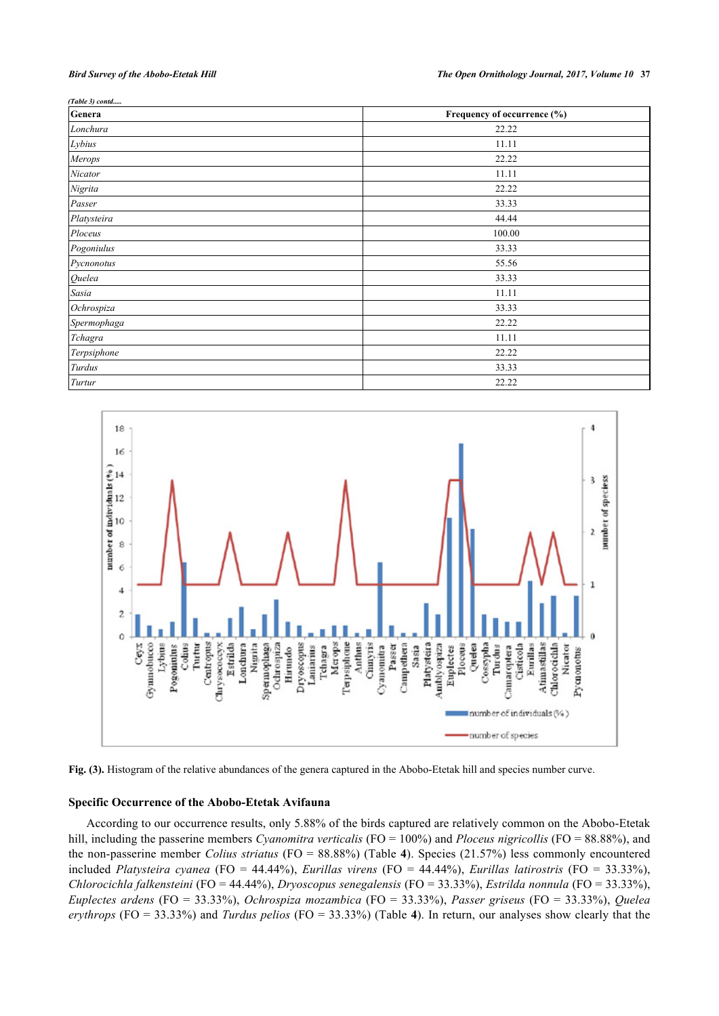| (Table 3) contd |                             |  |
|-----------------|-----------------------------|--|
| Genera          | Frequency of occurrence (%) |  |
| Lonchura        | 22.22                       |  |
| Lybius          | 11.11                       |  |
| Merops          | 22.22                       |  |
| Nicator         | 11.11                       |  |
| Nigrita         | 22.22                       |  |
| Passer          | 33.33                       |  |
| Platysteira     | 44.44                       |  |
| Ploceus         | 100.00                      |  |
| Pogoniulus      | 33.33                       |  |
| Pycnonotus      | 55.56                       |  |
| Quelea          | 33.33                       |  |
| Sasia           | 11.11                       |  |
| Ochrospiza      | 33.33                       |  |
| Spermophaga     | 22.22                       |  |
| Tchagra         | 11.11                       |  |
| Terpsiphone     | 22.22                       |  |
| Turdus          | 33.33                       |  |
| Turtur          | 22.22                       |  |

<span id="page-6-0"></span>



#### **Specific Occurrence of the Abobo-Etetak Avifauna**

According to our occurrence results, only 5.88% of the birds captured are relatively common on the Abobo-Etetak hill, including the passerine members *Cyanomitra verticalis* (FO = 100%) and *Ploceus nigricollis* (FO = 88.88%), and the non-passerine member *Colius striatus* (FO = 88.88%) (Table **[4](#page-7-0)**). Species (21.57%) less commonly encountered included *Platysteira cyanea* (FO = 44.44%), *Eurillas virens* (FO = 44.44%), *Eurillas latirostris* (FO = 33.33%), *Chlorocichla falkensteini* (FO = 44.44%), *Dryoscopus senegalensis* (FO = 33.33%), *Estrilda nonnula* (FO = 33.33%), *Euplectes ardens* (FO = 33.33%), *Ochrospiza mozambica* (FO = 33.33%), *Passer griseus* (FO = 33.33%), *Quelea erythrops* (FO = 33.33%) and *Turdus pelios* (FO = 33.33%) (Table **[4](#page-7-0)**). In return, our analyses show clearly that the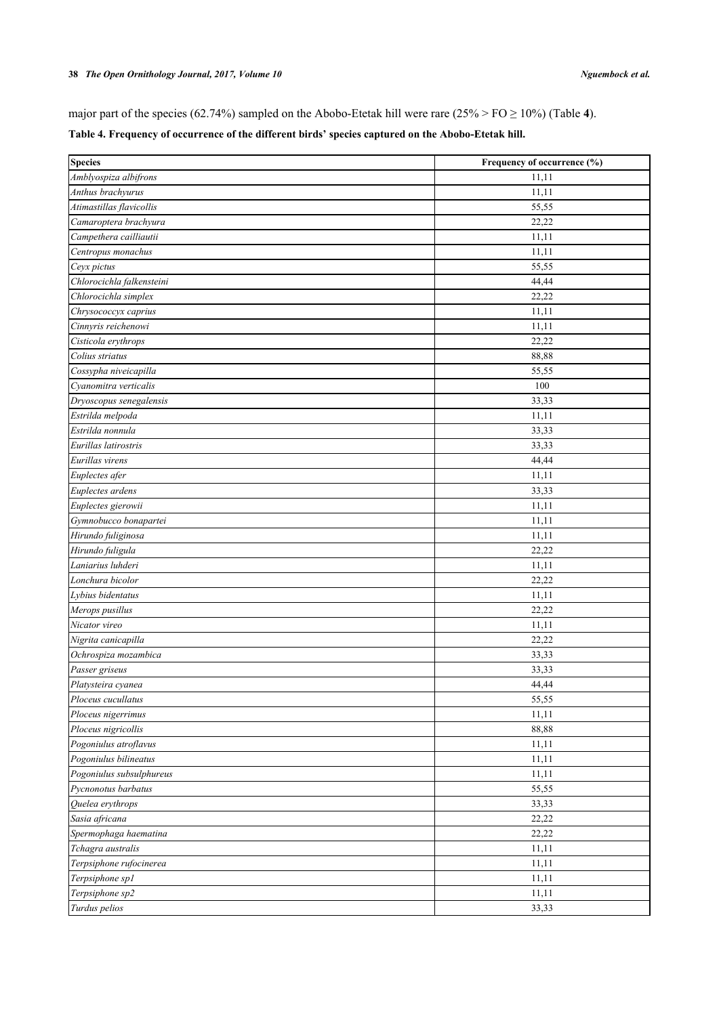major part of the species (62.74%) sampled on the Abobo-Etetak hill were rare (25% > FO ≥ 10%) (Table **[4](#page-7-0)**).

# <span id="page-7-0"></span>**Table 4. Frequency of occurrence of the different birds' species captured on the Abobo-Etetak hill.**

| <b>Species</b>            | Frequency of occurrence (%) |
|---------------------------|-----------------------------|
| Amblyospiza albifrons     | 11,11                       |
| Anthus brachyurus         | 11,11                       |
| Atimastillas flavicollis  | 55,55                       |
| Camaroptera brachyura     | 22,22                       |
| Campethera cailliautii    | 11,11                       |
| Centropus monachus        | 11,11                       |
| Ceyx pictus               | 55,55                       |
| Chlorocichla falkensteini | 44,44                       |
| Chlorocichla simplex      | 22,22                       |
| Chrysococcyx caprius      | 11,11                       |
| Cinnyris reichenowi       | 11,11                       |
| Cisticola erythrops       | 22,22                       |
| Colius striatus           | 88,88                       |
| Cossypha niveicapilla     | 55,55                       |
| Cyanomitra verticalis     | 100                         |
| Dryoscopus senegalensis   | 33,33                       |
| Estrilda melpoda          | 11,11                       |
| Estrilda nonnula          | 33,33                       |
| Eurillas latirostris      | 33,33                       |
| Eurillas virens           | 44,44                       |
| Euplectes afer            | 11,11                       |
| Euplectes ardens          | 33,33                       |
| Euplectes gierowii        | 11,11                       |
| Gymnobucco bonapartei     | 11,11                       |
| Hirundo fuliginosa        | 11,11                       |
| Hirundo fuligula          | 22,22                       |
| Laniarius luhderi         | 11,11                       |
| Lonchura bicolor          | 22,22                       |
| Lybius bidentatus         | 11,11                       |
| Merops pusillus           | 22,22                       |
| Nicator vireo             | 11,11                       |
| Nigrita canicapilla       | 22,22                       |
| Ochrospiza mozambica      | 33,33                       |
| Passer griseus            | 33,33                       |
| Platysteira cyanea        | 44,44                       |
| Ploceus cucullatus        | 55,55                       |
| Ploceus nigerrimus        | 11,11                       |
| Ploceus nigricollis       | 88,88                       |
| Pogoniulus atroflavus     | 11,11                       |
| Pogoniulus bilineatus     | 11,11                       |
| Pogoniulus subsulphureus  | 11,11                       |
| Pycnonotus barbatus       | 55,55                       |
| Quelea erythrops          | 33,33                       |
| Sasia africana            | 22,22                       |
| Spermophaga haematina     | 22,22                       |
| Tchagra australis         | 11,11                       |
| Terpsiphone rufocinerea   | 11,11                       |
| Terpsiphone sp1           | 11,11                       |
| Terpsiphone sp2           | 11,11                       |
| Turdus pelios             | 33,33                       |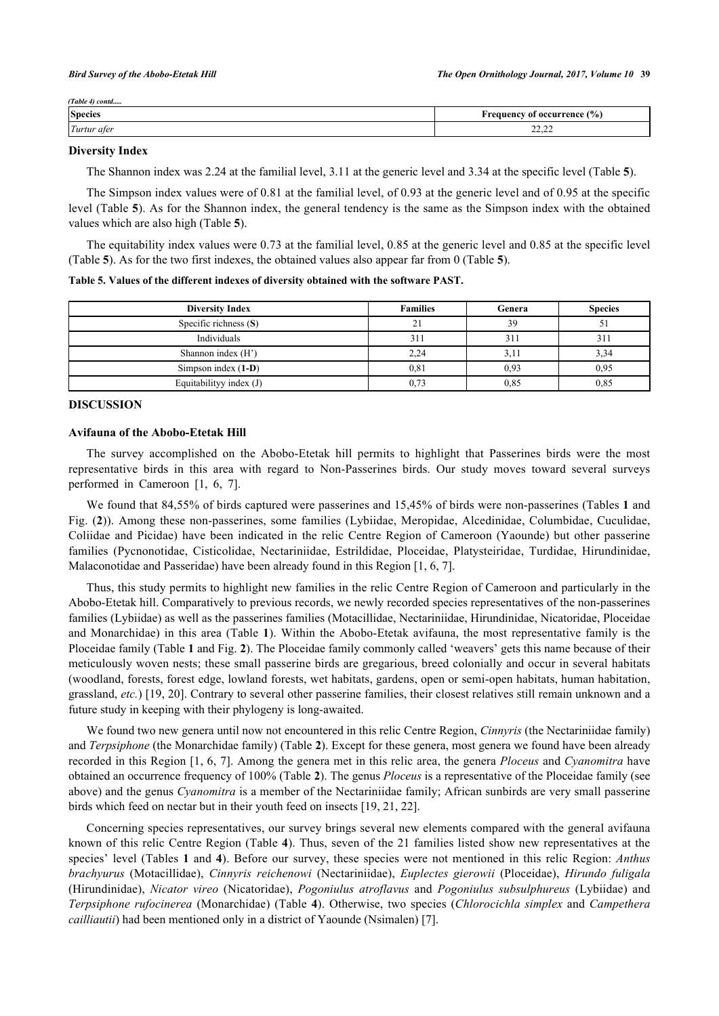| (Table 4) contd |                                    |
|-----------------|------------------------------------|
| <b>Species</b>  | <b>Frequency of occurrence (%)</b> |
| Turtur afer     | 22.22<br>عديد                      |

#### **Diversity Index**

The Shannon index was 2.24 at the familial level, 3.11 at the generic level and 3.34 at the specific level (Table **[5](#page-8-0)**).

The Simpson index values were of 0.81 at the familial level, of 0.93 at the generic level and of 0.95 at the specific level (Table **5**). As for the Shannon index, the general tendency is the same as the Simpson index with the obtained values which are also high (Table **[5](#page-8-0)**).

The equitability index values were 0.73 at the familial level, 0.85 at the generic level and 0.85 at the specific level (Table **[5](#page-8-0)**). As for the two first indexes, the obtained values also appear far from 0 (Table **[5](#page-8-0)**).

<span id="page-8-0"></span>**Table 5. Values of the different indexes of diversity obtained with the software PAST.**

| <b>Diversity Index</b>  | <b>Families</b> | Genera | <b>Species</b>  |
|-------------------------|-----------------|--------|-----------------|
| Specific richness $(S)$ |                 | 39     |                 |
| Individuals             | 311             | 311    | 31 <sup>2</sup> |
| Shannon index (H')      | 2,24            | 3,11   | 3,34            |
| Simpson index $(1-D)$   | 0.81            | 0.93   | 0.95            |
| Equitability index (J)  | 0.73            | 0.85   | 0.85            |

# **DISCUSSION**

#### **Avifauna of the Abobo-Etetak Hill**

The survey accomplished on the Abobo-Etetak hill permits to highlight that Passerines birds were the most representative birds in this area with regard to Non-Passerines birds. Our study moves toward several surveys performed in Cameroon[[1,](#page-10-0) [6,](#page-10-4) [7\]](#page-10-5).

We found that 84,55% of birds captured were passerines and 15,45% of birds were non-passerines (Tables **[1](#page-3-0)** and Fig. (**[2](#page-3-1)**)). Among these non-passerines, some families (Lybiidae, Meropidae, Alcedinidae, Columbidae, Cuculidae, Coliidae and Picidae) have been indicated in the relic Centre Region of Cameroon (Yaounde) but other passerine families (Pycnonotidae, Cisticolidae, Nectariniidae, Estrildidae, Ploceidae, Platysteiridae, Turdidae, Hirundinidae, Malaconotidae and Passeridae) have been already found in this Region [\[1](#page-10-0), [6](#page-10-4), [7](#page-10-5)].

Thus, this study permits to highlight new families in the relic Centre Region of Cameroon and particularly in the Abobo-Etetak hill. Comparatively to previous records, we newly recorded species representatives of the non-passerines families (Lybiidae) as well as the passerines families (Motacillidae, Nectariniidae, Hirundinidae, Nicatoridae, Ploceidae and Monarchidae) in this area (Table **[1](#page-3-0)**). Within the Abobo-Etetak avifauna, the most representative family is the Ploceidae family (Table **[1](#page-3-0)** and Fig. **[2](#page-3-1)**). The Ploceidae family commonly called 'weavers' gets this name because of their meticulously woven nests; these small passerine birds are gregarious, breed colonially and occur in several habitats (woodland, forests, forest edge, lowland forests, wet habitats, gardens, open or semi-open habitats, human habitation, grassland, *etc.*) [[19,](#page-10-15) [20](#page-10-16)]. Contrary to several other passerine families, their closest relatives still remain unknown and a future study in keeping with their phylogeny is long-awaited.

We found two new genera until now not encountered in this relic Centre Region, *Cinnyris* (the Nectariniidae family) and *Terpsiphone* (the Monarchidae family) (Table **[2](#page-4-0)**). Except for these genera, most genera we found have been already recorded in this Region [[1,](#page-10-0) [6,](#page-10-4) [7\]](#page-10-5). Among the genera met in this relic area, the genera *Ploceus* and *Cyanomitra* have obtained an occurrence frequency of 100% (Table **[2](#page-4-0)**). The genus *Ploceus* is a representative of the Ploceidae family (see above) and the genus *Cyanomitra* is a member of the Nectariniidae family; African sunbirds are very small passerine birds which feed on nectar but in their youth feed on insects [\[19](#page-10-15), [21](#page-10-17), [22](#page-10-18)].

Concerning species representatives, our survey brings several new elements compared with the general avifauna known of this relic Centre Region (Table **[4](#page-7-0)**). Thus, seven of the 21 families listed show new representatives at the species' level (Tables **[1](#page-3-0)** and **[4](#page-7-0)**). Before our survey, these species were not mentioned in this relic Region: *Anthus brachyurus* (Motacillidae), *Cinnyris reichenowi* (Nectariniidae), *Euplectes gierowii* (Ploceidae), *Hirundo fuligala* (Hirundinidae), *Nicator vireo* (Nicatoridae), *Pogoniulus atroflavus* and *Pogoniulus subsulphureus* (Lybiidae) and *Terpsiphone rufocinerea* (Monarchidae) (Table **[4](#page-7-0)**). Otherwise, two species (*Chlorocichla simplex* and *Campethera cailliautii*) had been mentioned only in a district of Yaounde (Nsimalen) [\[7](#page-10-5)].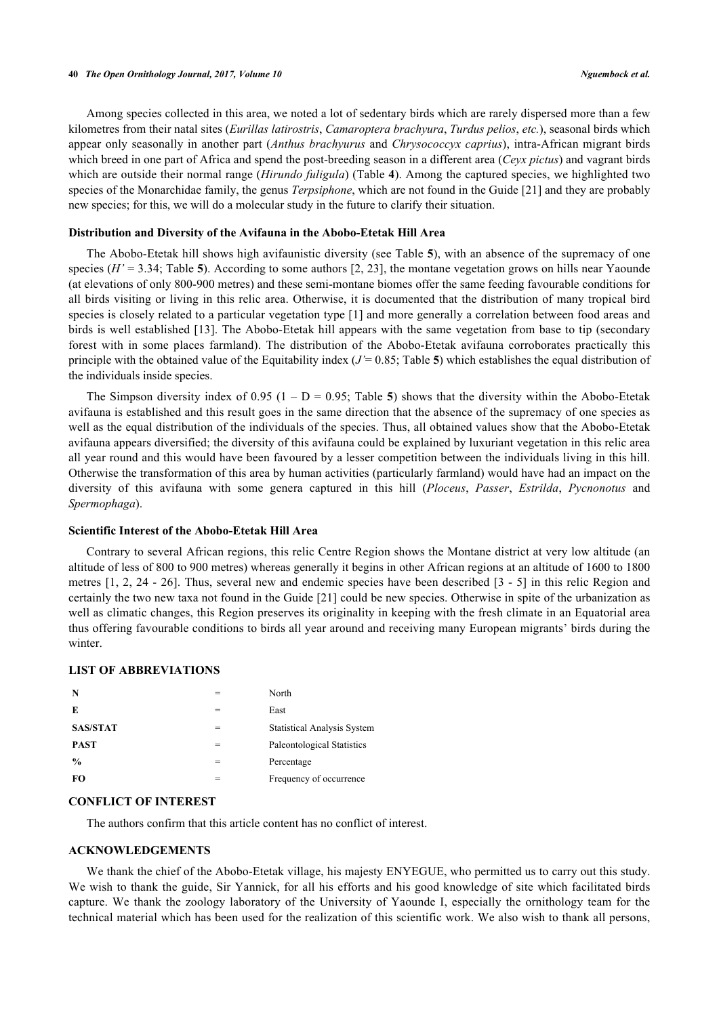#### **40** *The Open Ornithology Journal, 2017, Volume 10 Nguembock et al.*

Among species collected in this area, we noted a lot of sedentary birds which are rarely dispersed more than a few kilometres from their natal sites (*Eurillas latirostris*, *Camaroptera brachyura*, *Turdus pelios*, *etc.*), seasonal birds which appear only seasonally in another part (*Anthus brachyurus* and *Chrysococcyx caprius*), intra-African migrant birds which breed in one part of Africa and spend the post-breeding season in a different area (*Ceyx pictus*) and vagrant birds which are outside their normal range *(Hirundo fuligula)* (Table **[4](#page-7-0)**). Among the captured species, we highlighted two species of the Monarchidae family, the genus *Terpsiphone*, which are not found in the Guide [\[21](#page-10-17)] and they are probably new species; for this, we will do a molecular study in the future to clarify their situation.

#### **Distribution and Diversity of the Avifauna in the Abobo-Etetak Hill Area**

The Abobo-Etetak hill shows high avifaunistic diversity (see Table **[5](#page-8-0)**), with an absence of the supremacy of one species ( $H' = 3.34$ ; Table [5](#page-8-0)). According to some authors [[2,](#page-10-1) [23](#page-10-19)], the montane vegetation grows on hills near Yaounde (at elevations of only 800-900 metres) and these semi-montane biomes offer the same feeding favourable conditions for all birds visiting or living in this relic area. Otherwise, it is documented that the distribution of many tropical bird species is closely related to a particular vegetation type [\[1](#page-10-0)] and more generally a correlation between food areas and birds is well established [\[13](#page-10-9)]. The Abobo-Etetak hill appears with the same vegetation from base to tip (secondary forest with in some places farmland). The distribution of the Abobo-Etetak avifauna corroborates practically this principle with the obtained value of the Equitability index  $(J = 0.85;$  $(J = 0.85;$  $(J = 0.85;$  Table 5) which establishes the equal distribution of the individuals inside species.

The Simpson diversity index of  $0.95$  $0.95$  ( $1 - D = 0.95$ ; Table 5) shows that the diversity within the Abobo-Etetak avifauna is established and this result goes in the same direction that the absence of the supremacy of one species as well as the equal distribution of the individuals of the species. Thus, all obtained values show that the Abobo-Etetak avifauna appears diversified; the diversity of this avifauna could be explained by luxuriant vegetation in this relic area all year round and this would have been favoured by a lesser competition between the individuals living in this hill. Otherwise the transformation of this area by human activities (particularly farmland) would have had an impact on the diversity of this avifauna with some genera captured in this hill (*Ploceus*, *Passer*, *Estrilda*, *Pycnonotus* and *Spermophaga*).

#### **Scientific Interest of the Abobo-Etetak Hill Area**

Contrary to several African regions, this relic Centre Region shows the Montane district at very low altitude (an altitude of less of 800 to 900 metres) whereas generally it begins in other African regions at an altitude of 1600 to 1800 metres [[1,](#page-10-0) [2,](#page-10-1) [24](#page-10-20) - [26\]](#page-10-21). Thus, several new and endemic species have been described [[3](#page-10-2) - [5\]](#page-10-3) in this relic Region and certainly the two new taxa not found in the Guide [[21\]](#page-10-17) could be new species. Otherwise in spite of the urbanization as well as climatic changes, this Region preserves its originality in keeping with the fresh climate in an Equatorial area thus offering favourable conditions to birds all year around and receiving many European migrants' birds during the winter.

#### **LIST OF ABBREVIATIONS**

| N               | North                              |
|-----------------|------------------------------------|
| E               | East                               |
| <b>SAS/STAT</b> | <b>Statistical Analysis System</b> |
| <b>PAST</b>     | Paleontological Statistics         |
| $\frac{6}{9}$   | Percentage                         |
| <b>FO</b>       | Frequency of occurrence            |

#### **CONFLICT OF INTEREST**

The authors confirm that this article content has no conflict of interest.

# **ACKNOWLEDGEMENTS**

We thank the chief of the Abobo-Etetak village, his majesty ENYEGUE, who permitted us to carry out this study. We wish to thank the guide, Sir Yannick, for all his efforts and his good knowledge of site which facilitated birds capture. We thank the zoology laboratory of the University of Yaounde I, especially the ornithology team for the technical material which has been used for the realization of this scientific work. We also wish to thank all persons,